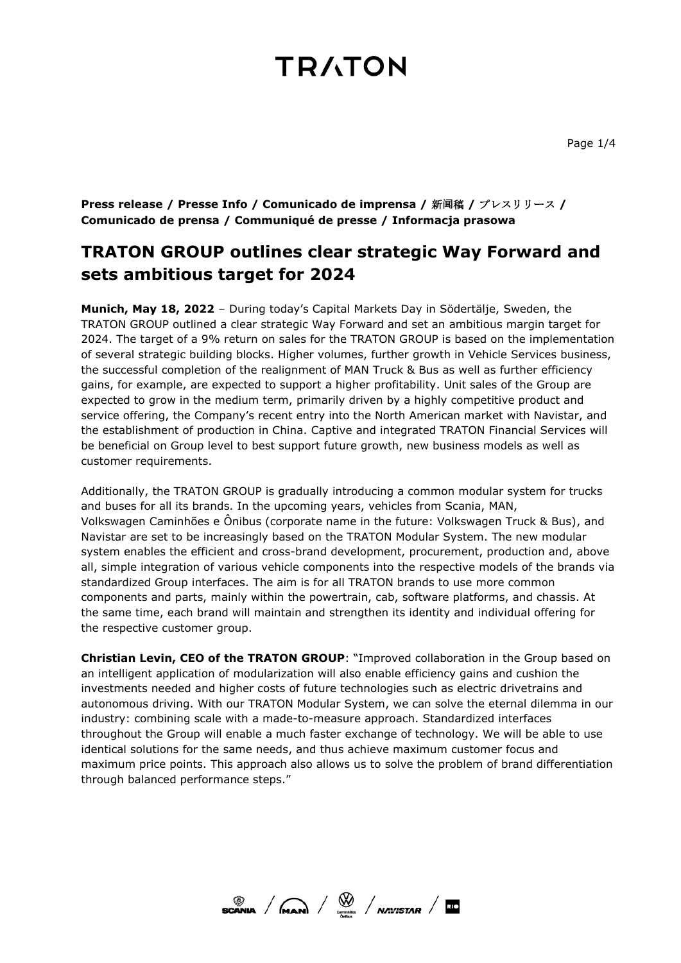**Press release / Presse Info / Comunicado de imprensa /** 新**闻**稿 **/** プレスリリース **/ Comunicado de prensa / Communiqué de presse / Informacja prasowa**

### **TRATON GROUP outlines clear strategic Way Forward and sets ambitious target for 2024**

**Munich, May 18, 2022** – During today's Capital Markets Day in Södertälje, Sweden, the TRATON GROUP outlined a clear strategic Way Forward and set an ambitious margin target for 2024. The target of a 9% return on sales for the TRATON GROUP is based on the implementation of several strategic building blocks. Higher volumes, further growth in Vehicle Services business, the successful completion of the realignment of MAN Truck & Bus as well as further efficiency gains, for example, are expected to support a higher profitability. Unit sales of the Group are expected to grow in the medium term, primarily driven by a highly competitive product and service offering, the Company's recent entry into the North American market with Navistar, and the establishment of production in China. Captive and integrated TRATON Financial Services will be beneficial on Group level to best support future growth, new business models as well as customer requirements.

Additionally, the TRATON GROUP is gradually introducing a common modular system for trucks and buses for all its brands. In the upcoming years, vehicles from Scania, MAN, Volkswagen Caminhões e Ônibus (corporate name in the future: Volkswagen Truck & Bus), and Navistar are set to be increasingly based on the TRATON Modular System. The new modular system enables the efficient and cross-brand development, procurement, production and, above all, simple integration of various vehicle components into the respective models of the brands via standardized Group interfaces. The aim is for all TRATON brands to use more common components and parts, mainly within the powertrain, cab, software platforms, and chassis. At the same time, each brand will maintain and strengthen its identity and individual offering for the respective customer group.

**Christian Levin, CEO of the TRATON GROUP**: "Improved collaboration in the Group based on an intelligent application of modularization will also enable efficiency gains and cushion the investments needed and higher costs of future technologies such as electric drivetrains and autonomous driving. With our TRATON Modular System, we can solve the eternal dilemma in our industry: combining scale with a made-to-measure approach. Standardized interfaces throughout the Group will enable a much faster exchange of technology. We will be able to use identical solutions for the same needs, and thus achieve maximum customer focus and maximum price points. This approach also allows us to solve the problem of brand differentiation through balanced performance steps."

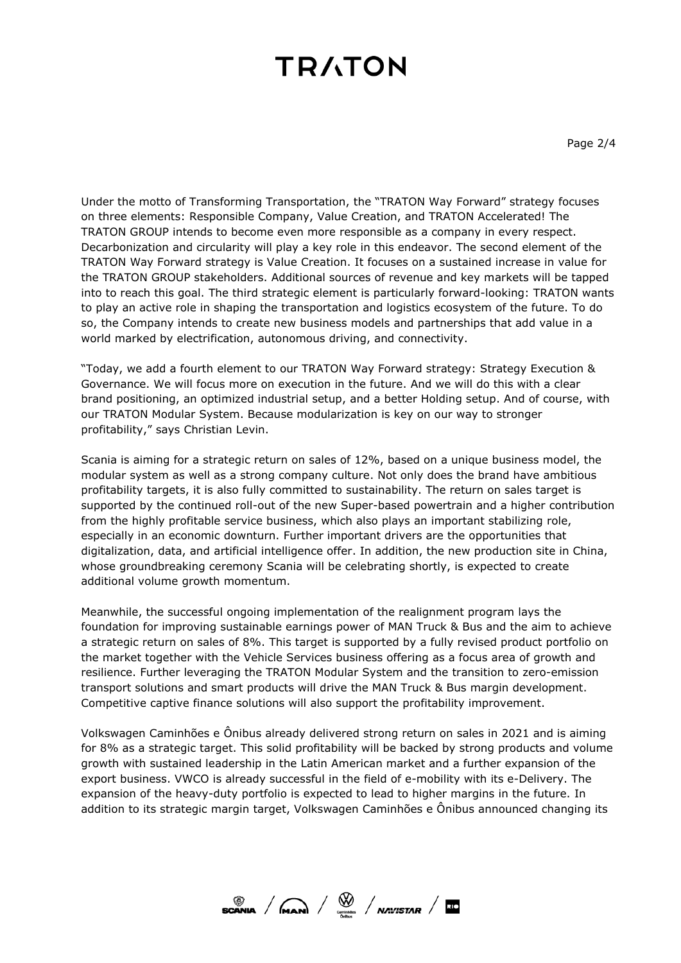Under the motto of Transforming Transportation, the "TRATON Way Forward" strategy focuses on three elements: Responsible Company, Value Creation, and TRATON Accelerated! The TRATON GROUP intends to become even more responsible as a company in every respect. Decarbonization and circularity will play a key role in this endeavor. The second element of the TRATON Way Forward strategy is Value Creation. It focuses on a sustained increase in value for the TRATON GROUP stakeholders. Additional sources of revenue and key markets will be tapped into to reach this goal. The third strategic element is particularly forward-looking: TRATON wants to play an active role in shaping the transportation and logistics ecosystem of the future. To do so, the Company intends to create new business models and partnerships that add value in a world marked by electrification, autonomous driving, and connectivity.

"Today, we add a fourth element to our TRATON Way Forward strategy: Strategy Execution & Governance. We will focus more on execution in the future. And we will do this with a clear brand positioning, an optimized industrial setup, and a better Holding setup. And of course, with our TRATON Modular System. Because modularization is key on our way to stronger profitability," says Christian Levin.

Scania is aiming for a strategic return on sales of 12%, based on a unique business model, the modular system as well as a strong company culture. Not only does the brand have ambitious profitability targets, it is also fully committed to sustainability. The return on sales target is supported by the continued roll-out of the new Super-based powertrain and a higher contribution from the highly profitable service business, which also plays an important stabilizing role, especially in an economic downturn. Further important drivers are the opportunities that digitalization, data, and artificial intelligence offer. In addition, the new production site in China, whose groundbreaking ceremony Scania will be celebrating shortly, is expected to create additional volume growth momentum.

Meanwhile, the successful ongoing implementation of the realignment program lays the foundation for improving sustainable earnings power of MAN Truck & Bus and the aim to achieve a strategic return on sales of 8%. This target is supported by a fully revised product portfolio on the market together with the Vehicle Services business offering as a focus area of growth and resilience. Further leveraging the TRATON Modular System and the transition to zero-emission transport solutions and smart products will drive the MAN Truck & Bus margin development. Competitive captive finance solutions will also support the profitability improvement.

Volkswagen Caminhões e Ônibus already delivered strong return on sales in 2021 and is aiming for 8% as a strategic target. This solid profitability will be backed by strong products and volume growth with sustained leadership in the Latin American market and a further expansion of the export business. VWCO is already successful in the field of e-mobility with its e-Delivery. The expansion of the heavy-duty portfolio is expected to lead to higher margins in the future. In addition to its strategic margin target, Volkswagen Caminhões e Ônibus announced changing its

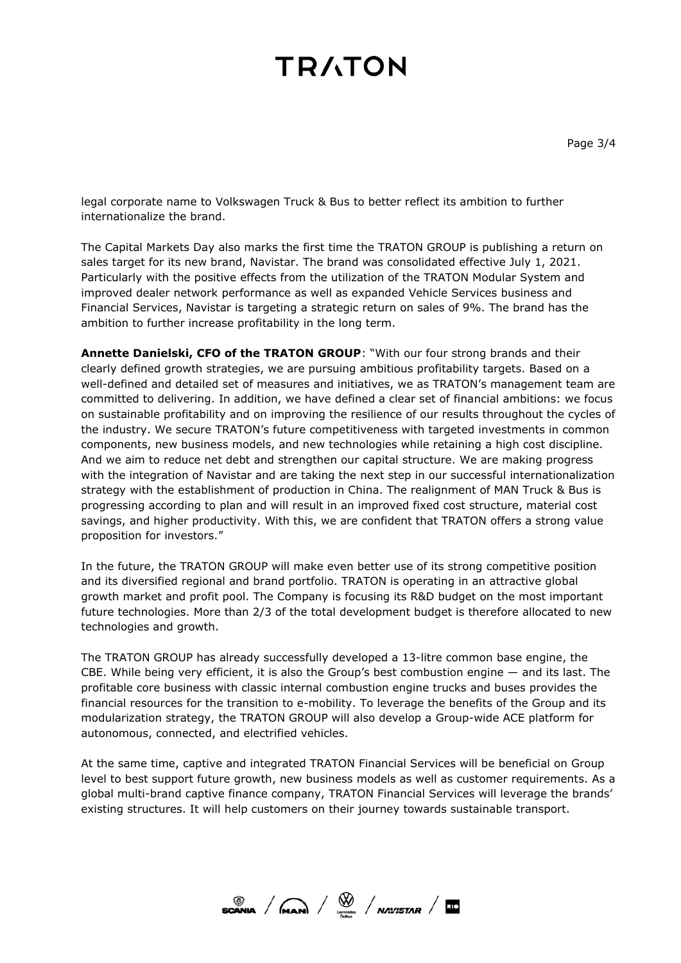legal corporate name to Volkswagen Truck & Bus to better reflect its ambition to further internationalize the brand.

The Capital Markets Day also marks the first time the TRATON GROUP is publishing a return on sales target for its new brand, Navistar. The brand was consolidated effective July 1, 2021. Particularly with the positive effects from the utilization of the TRATON Modular System and improved dealer network performance as well as expanded Vehicle Services business and Financial Services, Navistar is targeting a strategic return on sales of 9%. The brand has the ambition to further increase profitability in the long term.

**Annette Danielski, CFO of the TRATON GROUP**: "With our four strong brands and their clearly defined growth strategies, we are pursuing ambitious profitability targets. Based on a well-defined and detailed set of measures and initiatives, we as TRATON's management team are committed to delivering. In addition, we have defined a clear set of financial ambitions: we focus on sustainable profitability and on improving the resilience of our results throughout the cycles of the industry. We secure TRATON's future competitiveness with targeted investments in common components, new business models, and new technologies while retaining a high cost discipline. And we aim to reduce net debt and strengthen our capital structure. We are making progress with the integration of Navistar and are taking the next step in our successful internationalization strategy with the establishment of production in China. The realignment of MAN Truck & Bus is progressing according to plan and will result in an improved fixed cost structure, material cost savings, and higher productivity. With this, we are confident that TRATON offers a strong value proposition for investors."

In the future, the TRATON GROUP will make even better use of its strong competitive position and its diversified regional and brand portfolio. TRATON is operating in an attractive global growth market and profit pool. The Company is focusing its R&D budget on the most important future technologies. More than 2/3 of the total development budget is therefore allocated to new technologies and growth.

The TRATON GROUP has already successfully developed a 13-litre common base engine, the CBE. While being very efficient, it is also the Group's best combustion engine — and its last. The profitable core business with classic internal combustion engine trucks and buses provides the financial resources for the transition to e-mobility. To leverage the benefits of the Group and its modularization strategy, the TRATON GROUP will also develop a Group-wide ACE platform for autonomous, connected, and electrified vehicles.

At the same time, captive and integrated TRATON Financial Services will be beneficial on Group level to best support future growth, new business models as well as customer requirements. As a global multi-brand captive finance company, TRATON Financial Services will leverage the brands' existing structures. It will help customers on their journey towards sustainable transport.